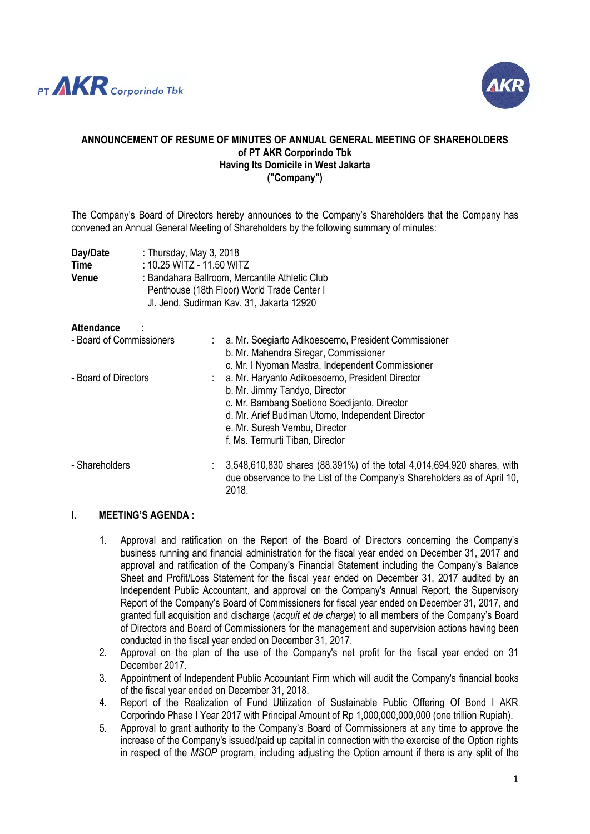



#### **ANNOUNCEMENT OF RESUME OF MINUTES OF ANNUAL GENERAL MEETING OF SHAREHOLDERS of PT AKR Corporindo Tbk Having Its Domicile in West Jakarta ("Company")**

The Company's Board of Directors hereby announces to the Company's Shareholders that the Company has convened an Annual General Meeting of Shareholders by the following summary of minutes:

| Day/Date    | : Thursday, May 3, 2018                        |
|-------------|------------------------------------------------|
| <b>Time</b> | : 10.25 WITZ - 11.50 WITZ                      |
| Venue       | : Bandahara Ballroom, Mercantile Athletic Club |
|             | Penthouse (18th Floor) World Trade Center I    |
|             | Jl. Jend. Sudirman Kav. 31, Jakarta 12920      |

#### **Attendance** :

| - Board of Commissioners | : a. Mr. Soegiarto Adikoesoemo, President Commissioner<br>b. Mr. Mahendra Siregar, Commissioner                                                                                        |
|--------------------------|----------------------------------------------------------------------------------------------------------------------------------------------------------------------------------------|
| - Board of Directors     | c. Mr. I Nyoman Mastra, Independent Commissioner<br>: a. Mr. Haryanto Adikoesoemo, President Director<br>b. Mr. Jimmy Tandyo, Director<br>c. Mr. Bambang Soetiono Soedijanto, Director |
|                          | d. Mr. Arief Budiman Utomo, Independent Director<br>e. Mr. Suresh Vembu, Director<br>f. Ms. Termurti Tiban, Director                                                                   |
| - Shareholders           | 3,548,610,830 shares (88.391%) of the total 4,014,694,920 shares, with<br>due observance to the List of the Company's Shareholders as of April 10,<br>2018.                            |

#### **I. MEETING'S AGENDA :**

- 1. Approval and ratification on the Report of the Board of Directors concerning the Company's business running and financial administration for the fiscal year ended on December 31, 2017 and approval and ratification of the Company's Financial Statement including the Company's Balance Sheet and Profit/Loss Statement for the fiscal year ended on December 31, 2017 audited by an Independent Public Accountant, and approval on the Company's Annual Report, the Supervisory Report of the Company's Board of Commissioners for fiscal year ended on December 31, 2017, and granted full acquisition and discharge (*acquit et de charge*) to all members of the Company's Board of Directors and Board of Commissioners for the management and supervision actions having been conducted in the fiscal year ended on December 31, 2017.
- 2. Approval on the plan of the use of the Company's net profit for the fiscal year ended on 31 December 2017.
- 3. Appointment of Independent Public Accountant Firm which will audit the Company's financial books of the fiscal year ended on December 31, 2018.
- 4. Report of the Realization of Fund Utilization of Sustainable Public Offering Of Bond I AKR Corporindo Phase I Year 2017 with Principal Amount of Rp 1,000,000,000,000 (one trillion Rupiah).
- 5. Approval to grant authority to the Company's Board of Commissioners at any time to approve the increase of the Company's issued/paid up capital in connection with the exercise of the Option rights in respect of the *MSOP* program, including adjusting the Option amount if there is any split of the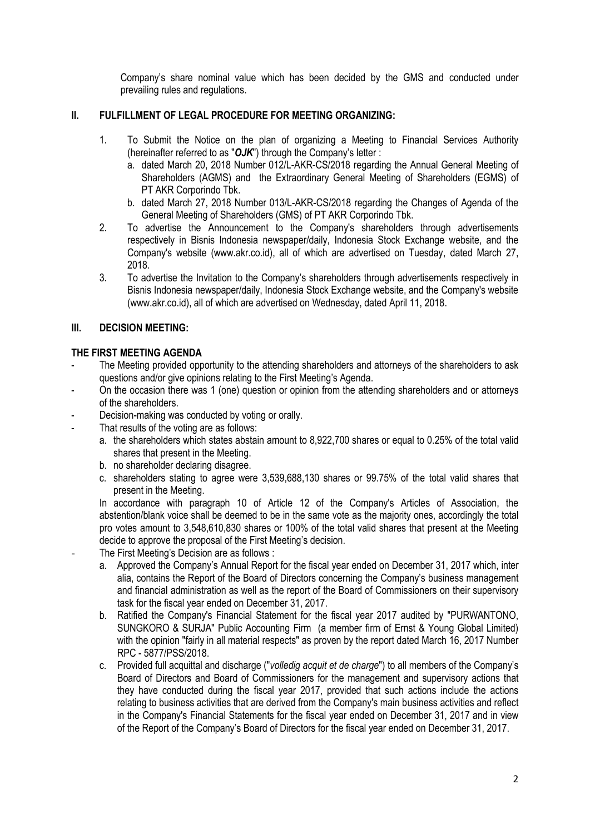Company's share nominal value which has been decided by the GMS and conducted under prevailing rules and regulations.

# **II. FULFILLMENT OF LEGAL PROCEDURE FOR MEETING ORGANIZING:**

- 1. To Submit the Notice on the plan of organizing a Meeting to Financial Services Authority (hereinafter referred to as "*OJK*") through the Company's letter :
	- a. dated March 20, 2018 Number 012/L-AKR-CS/2018 regarding the Annual General Meeting of Shareholders (AGMS) and the Extraordinary General Meeting of Shareholders (EGMS) of PT AKR Corporindo Tbk.
	- b. dated March 27, 2018 Number 013/L-AKR-CS/2018 regarding the Changes of Agenda of the General Meeting of Shareholders (GMS) of PT AKR Corporindo Tbk.
- 2. To advertise the Announcement to the Company's shareholders through advertisements respectively in Bisnis Indonesia newspaper/daily, Indonesia Stock Exchange website, and the Company's website (www.akr.co.id), all of which are advertised on Tuesday, dated March 27, 2018.
- 3. To advertise the Invitation to the Company's shareholders through advertisements respectively in Bisnis Indonesia newspaper/daily, Indonesia Stock Exchange website, and the Company's website (www.akr.co.id), all of which are advertised on Wednesday, dated April 11, 2018.

# **III. DECISION MEETING:**

# **THE FIRST MEETING AGENDA**

- The Meeting provided opportunity to the attending shareholders and attorneys of the shareholders to ask questions and/or give opinions relating to the First Meeting's Agenda.
- On the occasion there was 1 (one) question or opinion from the attending shareholders and or attorneys of the shareholders.
- Decision-making was conducted by voting or orally.
- That results of the voting are as follows:
	- a. the shareholders which states abstain amount to 8,922,700 shares or equal to 0.25% of the total valid shares that present in the Meeting.
	- b. no shareholder declaring disagree.
	- c. shareholders stating to agree were 3,539,688,130 shares or 99.75% of the total valid shares that present in the Meeting.

In accordance with paragraph 10 of Article 12 of the Company's Articles of Association, the abstention/blank voice shall be deemed to be in the same vote as the majority ones, accordingly the total pro votes amount to 3,548,610,830 shares or 100% of the total valid shares that present at the Meeting decide to approve the proposal of the First Meeting's decision.

- The First Meeting's Decision are as follows :
	- a. Approved the Company's Annual Report for the fiscal year ended on December 31, 2017 which, inter alia, contains the Report of the Board of Directors concerning the Company's business management and financial administration as well as the report of the Board of Commissioners on their supervisory task for the fiscal year ended on December 31, 2017.
	- b. Ratified the Company's Financial Statement for the fiscal year 2017 audited by "PURWANTONO, SUNGKORO & SURJA" Public Accounting Firm (a member firm of Ernst & Young Global Limited) with the opinion "fairly in all material respects" as proven by the report dated March 16, 2017 Number RPC - 5877/PSS/2018.
	- c. Provided full acquittal and discharge ("*volledig acquit et de charge*") to all members of the Company's Board of Directors and Board of Commissioners for the management and supervisory actions that they have conducted during the fiscal year 2017, provided that such actions include the actions relating to business activities that are derived from the Company's main business activities and reflect in the Company's Financial Statements for the fiscal year ended on December 31, 2017 and in view of the Report of the Company's Board of Directors for the fiscal year ended on December 31, 2017.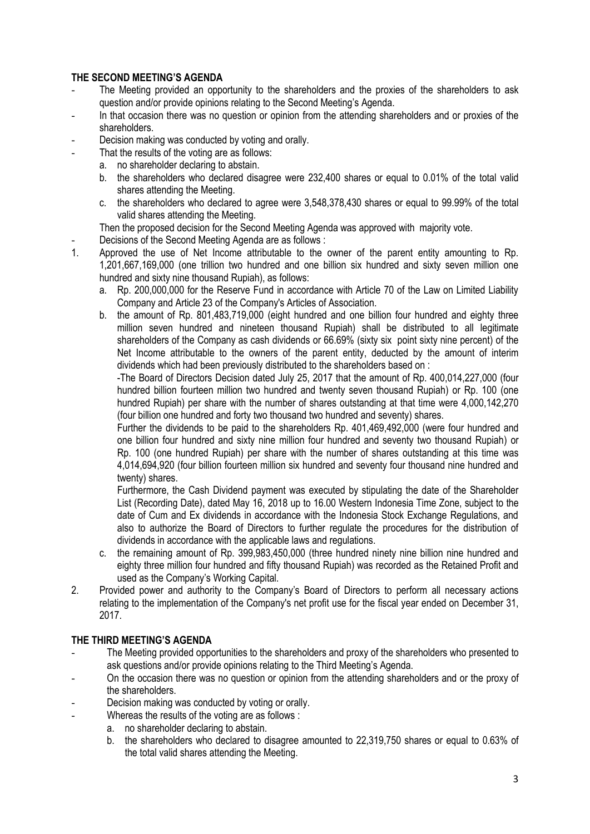# **THE SECOND MEETING'S AGENDA**

- The Meeting provided an opportunity to the shareholders and the proxies of the shareholders to ask question and/or provide opinions relating to the Second Meeting's Agenda.
- In that occasion there was no question or opinion from the attending shareholders and or proxies of the shareholders.
- Decision making was conducted by voting and orally.
	- That the results of the voting are as follows:
	- a. no shareholder declaring to abstain.
		- b. the shareholders who declared disagree were 232,400 shares or equal to 0.01% of the total valid shares attending the Meeting.
		- c. the shareholders who declared to agree were 3,548,378,430 shares or equal to 99.99% of the total valid shares attending the Meeting.
	- Then the proposed decision for the Second Meeting Agenda was approved with majority vote.
	- Decisions of the Second Meeting Agenda are as follows :
- 1. Approved the use of Net Income attributable to the owner of the parent entity amounting to Rp. 1,201,667,169,000 (one trillion two hundred and one billion six hundred and sixty seven million one hundred and sixty nine thousand Rupiah), as follows:
	- a. Rp. 200,000,000 for the Reserve Fund in accordance with Article 70 of the Law on Limited Liability Company and Article 23 of the Company's Articles of Association.
	- b. the amount of Rp. 801,483,719,000 (eight hundred and one billion four hundred and eighty three million seven hundred and nineteen thousand Rupiah) shall be distributed to all legitimate shareholders of the Company as cash dividends or 66.69% (sixty six point sixty nine percent) of the Net Income attributable to the owners of the parent entity, deducted by the amount of interim dividends which had been previously distributed to the shareholders based on :

-The Board of Directors Decision dated July 25, 2017 that the amount of Rp. 400,014,227,000 (four hundred billion fourteen million two hundred and twenty seven thousand Rupiah) or Rp. 100 (one hundred Rupiah) per share with the number of shares outstanding at that time were 4,000,142,270 (four billion one hundred and forty two thousand two hundred and seventy) shares.

Further the dividends to be paid to the shareholders Rp. 401,469,492,000 (were four hundred and one billion four hundred and sixty nine million four hundred and seventy two thousand Rupiah) or Rp. 100 (one hundred Rupiah) per share with the number of shares outstanding at this time was 4,014,694,920 (four billion fourteen million six hundred and seventy four thousand nine hundred and twenty) shares.

Furthermore, the Cash Dividend payment was executed by stipulating the date of the Shareholder List (Recording Date), dated May 16, 2018 up to 16.00 Western Indonesia Time Zone, subject to the date of Cum and Ex dividends in accordance with the Indonesia Stock Exchange Regulations, and also to authorize the Board of Directors to further regulate the procedures for the distribution of dividends in accordance with the applicable laws and regulations.

- c. the remaining amount of Rp. 399,983,450,000 (three hundred ninety nine billion nine hundred and eighty three million four hundred and fifty thousand Rupiah) was recorded as the Retained Profit and used as the Company's Working Capital.
- 2. Provided power and authority to the Company's Board of Directors to perform all necessary actions relating to the implementation of the Company's net profit use for the fiscal year ended on December 31, 2017.

## **THE THIRD MEETING'S AGENDA**

- The Meeting provided opportunities to the shareholders and proxy of the shareholders who presented to ask questions and/or provide opinions relating to the Third Meeting's Agenda.
- On the occasion there was no question or opinion from the attending shareholders and or the proxy of the shareholders.
- Decision making was conducted by voting or orally.
	- Whereas the results of the voting are as follows :
		- a. no shareholder declaring to abstain.
		- b. the shareholders who declared to disagree amounted to 22,319,750 shares or equal to 0.63% of the total valid shares attending the Meeting.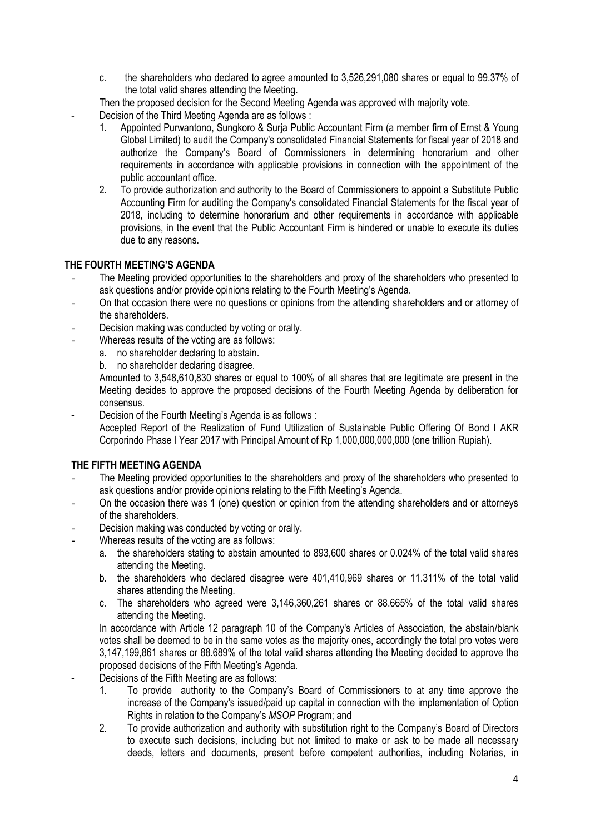- c. the shareholders who declared to agree amounted to 3,526,291,080 shares or equal to 99.37% of the total valid shares attending the Meeting.
- Then the proposed decision for the Second Meeting Agenda was approved with majority vote.
- Decision of the Third Meeting Agenda are as follows :
	- 1. Appointed Purwantono, Sungkoro & Surja Public Accountant Firm (a member firm of Ernst & Young Global Limited) to audit the Company's consolidated Financial Statements for fiscal year of 2018 and authorize the Company's Board of Commissioners in determining honorarium and other requirements in accordance with applicable provisions in connection with the appointment of the public accountant office.
	- 2. To provide authorization and authority to the Board of Commissioners to appoint a Substitute Public Accounting Firm for auditing the Company's consolidated Financial Statements for the fiscal year of 2018, including to determine honorarium and other requirements in accordance with applicable provisions, in the event that the Public Accountant Firm is hindered or unable to execute its duties due to any reasons.

# **THE FOURTH MEETING'S AGENDA**

- The Meeting provided opportunities to the shareholders and proxy of the shareholders who presented to ask questions and/or provide opinions relating to the Fourth Meeting's Agenda.
- On that occasion there were no questions or opinions from the attending shareholders and or attorney of the shareholders.
- Decision making was conducted by voting or orally.
- Whereas results of the voting are as follows:
	- a. no shareholder declaring to abstain.
	- b. no shareholder declaring disagree.

Amounted to 3,548,610,830 shares or equal to 100% of all shares that are legitimate are present in the Meeting decides to approve the proposed decisions of the Fourth Meeting Agenda by deliberation for consensus.

Decision of the Fourth Meeting's Agenda is as follows :

Accepted Report of the Realization of Fund Utilization of Sustainable Public Offering Of Bond I AKR Corporindo Phase I Year 2017 with Principal Amount of Rp 1,000,000,000,000 (one trillion Rupiah).

## **THE FIFTH MEETING AGENDA**

- The Meeting provided opportunities to the shareholders and proxy of the shareholders who presented to ask questions and/or provide opinions relating to the Fifth Meeting's Agenda.
- On the occasion there was 1 (one) question or opinion from the attending shareholders and or attorneys of the shareholders.
- Decision making was conducted by voting or orally.
- Whereas results of the voting are as follows:
	- a. the shareholders stating to abstain amounted to 893,600 shares or 0.024% of the total valid shares attending the Meeting.
	- b. the shareholders who declared disagree were 401,410,969 shares or 11.311% of the total valid shares attending the Meeting.
	- c. The shareholders who agreed were 3,146,360,261 shares or 88.665% of the total valid shares attending the Meeting.

In accordance with Article 12 paragraph 10 of the Company's Articles of Association, the abstain/blank votes shall be deemed to be in the same votes as the majority ones, accordingly the total pro votes were 3,147,199,861 shares or 88.689% of the total valid shares attending the Meeting decided to approve the proposed decisions of the Fifth Meeting's Agenda.

- Decisions of the Fifth Meeting are as follows:
	- 1. To provide authority to the Company's Board of Commissioners to at any time approve the increase of the Company's issued/paid up capital in connection with the implementation of Option Rights in relation to the Company's *MSOP* Program; and
	- 2. To provide authorization and authority with substitution right to the Company's Board of Directors to execute such decisions, including but not limited to make or ask to be made all necessary deeds, letters and documents, present before competent authorities, including Notaries, in